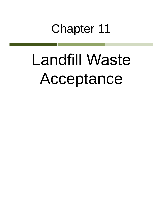# Chapter 11

# Landfill Waste Acceptance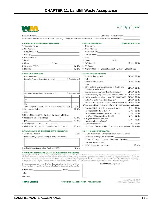| Requested Facility:                                                                                                                                                                                                                                                                                                                                                                                                                                                                                                                                                                                                                                                                                                                                                                                    |               | Unsure Profile Number:                                                                                                                                                                                                         |                            |            |
|--------------------------------------------------------------------------------------------------------------------------------------------------------------------------------------------------------------------------------------------------------------------------------------------------------------------------------------------------------------------------------------------------------------------------------------------------------------------------------------------------------------------------------------------------------------------------------------------------------------------------------------------------------------------------------------------------------------------------------------------------------------------------------------------------------|---------------|--------------------------------------------------------------------------------------------------------------------------------------------------------------------------------------------------------------------------------|----------------------------|------------|
|                                                                                                                                                                                                                                                                                                                                                                                                                                                                                                                                                                                                                                                                                                                                                                                                        |               |                                                                                                                                                                                                                                |                            |            |
| A. GENERATOR INFORMATION (MATERIAL ORIGIN)                                                                                                                                                                                                                                                                                                                                                                                                                                                                                                                                                                                                                                                                                                                                                             |               | <b>B. BILLING INFORMATION</b>                                                                                                                                                                                                  | <b>U SAME AS GENERATOR</b> |            |
| 1. Generator Name: et al. 2006. The contract of the contract of the contract of the contract of the contract of                                                                                                                                                                                                                                                                                                                                                                                                                                                                                                                                                                                                                                                                                        |               | 1. Billing Name: The Committee of the Committee of the Committee of the Committee of the Committee of the Committee of the Committee of the Committee of the Committee of the Committee of the Committee of the Committee of t |                            |            |
| 2. Site Address: The Address of the Address of the Address of the Address of the Address of the Address of the Address of the Address of the Address of the Address of the Address of the Address of the Address of the Addres                                                                                                                                                                                                                                                                                                                                                                                                                                                                                                                                                                         |               | 2. Billing Address: North American Communication of the Communication of the Communication of the Communication                                                                                                                |                            |            |
|                                                                                                                                                                                                                                                                                                                                                                                                                                                                                                                                                                                                                                                                                                                                                                                                        |               | (City, State, ZJP) Care and Contract and Contract of the Contract of the Contract of the Contract of the Contract of the Contract of the Contract of the Contract of the Contract of the Contract of the Contract of the Contr |                            |            |
| 3. County: The country of the country of the country of the country of the country of the country of the country of the country of the country of the country of the country of the country of the country of the country of t                                                                                                                                                                                                                                                                                                                                                                                                                                                                                                                                                                         |               | 3. Contact Name: Electric Contract Contract of Contract Contract Contract Contract Contract Contract Contract Contract Contract Contract Contract Contract Contract Contract Contract Contract Contract Contract Contract Cont |                            |            |
| 4. Contact Name: 1988 and 2008 and 2008 and 2008 and 2008 and 2008 and 2008 and 2008 and 2008 and 2008 and 200                                                                                                                                                                                                                                                                                                                                                                                                                                                                                                                                                                                                                                                                                         |               |                                                                                                                                                                                                                                |                            |            |
| 5. Email: The Commission of the Commission of the Commission of the Commission of the Commission of the Commission                                                                                                                                                                                                                                                                                                                                                                                                                                                                                                                                                                                                                                                                                     |               | 5. Phone: 6. Fax: 6. Fax:                                                                                                                                                                                                      |                            |            |
|                                                                                                                                                                                                                                                                                                                                                                                                                                                                                                                                                                                                                                                                                                                                                                                                        |               | <b>Dives</b> Di No.<br>7. WM Hauled?                                                                                                                                                                                           |                            |            |
| 8. Generator EPA ID: Q N/A                                                                                                                                                                                                                                                                                                                                                                                                                                                                                                                                                                                                                                                                                                                                                                             |               | 8. P.O. Number: The Contract of the Contract of the Contract of the Contract of the Contract of the Contract of the Contract of the Contract of the Contract of the Contract of the Contract of the Contract of the Contract o |                            |            |
| 9, State ID: 2008 Contract Contract Contract Contract Contract Contract Contract Contract Contract Contract Contract Contract Contract Contract Contract Contract Contract Contract Contract Contract Contract Contract Contra                                                                                                                                                                                                                                                                                                                                                                                                                                                                                                                                                                         | $\Box N/A$    | 9. Payment Method: Q Credit Account Q Cash Q Credit Card                                                                                                                                                                       |                            |            |
| C. MATERIAL INFORMATION                                                                                                                                                                                                                                                                                                                                                                                                                                                                                                                                                                                                                                                                                                                                                                                |               | <b>D. REGULATORY INFORMATION</b>                                                                                                                                                                                               |                            |            |
| 1. Common Name:                                                                                                                                                                                                                                                                                                                                                                                                                                                                                                                                                                                                                                                                                                                                                                                        |               | 1. EPA Hazardous Waste?                                                                                                                                                                                                        | $\Box$ Yes* $\Box$ No      |            |
| Describe Process Generating Material:<br>□ See Attached                                                                                                                                                                                                                                                                                                                                                                                                                                                                                                                                                                                                                                                                                                                                                |               | Code:                                                                                                                                                                                                                          |                            |            |
|                                                                                                                                                                                                                                                                                                                                                                                                                                                                                                                                                                                                                                                                                                                                                                                                        |               | 2. State Hazardous Waste?<br>Code:                                                                                                                                                                                             | $Q$ Yes $Q$ No             |            |
|                                                                                                                                                                                                                                                                                                                                                                                                                                                                                                                                                                                                                                                                                                                                                                                                        |               | 3. Is this material non-hazardous due to Treatment,<br>Delisting, or an Exclusion?                                                                                                                                             | $\Box$ Yes* $\Box$ No      |            |
| 2. Material Composition and Contaminants:<br>□ See Attached                                                                                                                                                                                                                                                                                                                                                                                                                                                                                                                                                                                                                                                                                                                                            |               | 4. Contains Underlying Hazardous Constituents?                                                                                                                                                                                 | □ Yes* □ No                |            |
| 1.                                                                                                                                                                                                                                                                                                                                                                                                                                                                                                                                                                                                                                                                                                                                                                                                     |               | 5. From an industry regulated under Benzene NESHAP?                                                                                                                                                                            | $\Box$ Yes* $\Box$ No      |            |
| 2.                                                                                                                                                                                                                                                                                                                                                                                                                                                                                                                                                                                                                                                                                                                                                                                                     |               | 6. Facility remediation subject to 40 CFR 63 GGGGG?                                                                                                                                                                            | $\Box$ Yes* $\Box$ No      |            |
| 3.                                                                                                                                                                                                                                                                                                                                                                                                                                                                                                                                                                                                                                                                                                                                                                                                     |               | 7. CERCLA or State-mandated clean-up?                                                                                                                                                                                          | $\Box$ Yes* $\Box$ No      |            |
| 4.                                                                                                                                                                                                                                                                                                                                                                                                                                                                                                                                                                                                                                                                                                                                                                                                     |               | 8. NRC or State-regulated radioactive or NORM waste? □ Yes* □ No                                                                                                                                                               |                            |            |
| Total composition must be equal to or greater than 100% 2100%                                                                                                                                                                                                                                                                                                                                                                                                                                                                                                                                                                                                                                                                                                                                          |               | *If Yes, see Addendum (page 2) for additional questions and space.                                                                                                                                                             |                            |            |
| 3, State Waste Codes: 2008. The Codes of the Codes of the Codes of the Codes of the Codes of the Codes of the Codes of the Codes of the Codes of the Codes of the Codes of the Codes of the Codes of the Codes of the Codes of                                                                                                                                                                                                                                                                                                                                                                                                                                                                                                                                                                         | $\Box N/A$    | 9. Contains PCBs? $\rightarrow$ If Yes, answer a, b and c,                                                                                                                                                                     | $\Box$ Yes. $\Box$ No.     |            |
| 4. Color:                                                                                                                                                                                                                                                                                                                                                                                                                                                                                                                                                                                                                                                                                                                                                                                              |               | a. Regulated by 40 CFR 761?                                                                                                                                                                                                    | $\Box$ Yes $\Box$ No       |            |
| 5. Physical State at 70°F: □ Solid □ Liquid □ Other:                                                                                                                                                                                                                                                                                                                                                                                                                                                                                                                                                                                                                                                                                                                                                   |               | b. Remediation under 40 CFR 761.61 (a)?                                                                                                                                                                                        | $\Box$ Yes $\Box$ No       |            |
| 6. Free Liquid Range Percentage: ___________ to __________                                                                                                                                                                                                                                                                                                                                                                                                                                                                                                                                                                                                                                                                                                                                             | $\Box N/A$    | c. Were PCB imported into the US?<br>10. Regulated and/or Untreated                                                                                                                                                            | TYes TING                  |            |
| $7.$ pH: to to the contract of the contract of the contract of the contract of the contract of the contract of the contract of the contract of the contract of the contract of the contract of the contract of the contract o                                                                                                                                                                                                                                                                                                                                                                                                                                                                                                                                                                          | IN/A          | Medical/Infectious Waste?                                                                                                                                                                                                      | $\Box$ Yes $\Box$ No       |            |
| 8. Strong Odor: Q Yes Q No Describe:                                                                                                                                                                                                                                                                                                                                                                                                                                                                                                                                                                                                                                                                                                                                                                   |               | 11. Contains Asbestos?                                                                                                                                                                                                         | TYes TINO                  |            |
| 9. Flash Point: Q <140°F Q 140°-199°F Q ≥200°                                                                                                                                                                                                                                                                                                                                                                                                                                                                                                                                                                                                                                                                                                                                                          | $\Box N/A$    | > If Yes: Q Non-Friable Q Non-Friable - Regulated Q Triable                                                                                                                                                                    |                            |            |
| E. ANALYTICAL AND OTHER REPRESENTATIVE INFORMATION                                                                                                                                                                                                                                                                                                                                                                                                                                                                                                                                                                                                                                                                                                                                                     |               | <b>F. SHIPPING AND DOT INFORMATION</b>                                                                                                                                                                                         |                            |            |
| 1. Analytical attached                                                                                                                                                                                                                                                                                                                                                                                                                                                                                                                                                                                                                                                                                                                                                                                 | $\square$ Yes | 1. One-Time Event ORepeat Event / Ongoing Business                                                                                                                                                                             |                            |            |
| Please identify applicable samples and/or lab reports:                                                                                                                                                                                                                                                                                                                                                                                                                                                                                                                                                                                                                                                                                                                                                 |               | 2. Estimated Quantity/Unit of Measure:                                                                                                                                                                                         |                            |            |
|                                                                                                                                                                                                                                                                                                                                                                                                                                                                                                                                                                                                                                                                                                                                                                                                        |               | □ Tons □ Yards □ Drums □ Gallons □ Other:                                                                                                                                                                                      |                            |            |
|                                                                                                                                                                                                                                                                                                                                                                                                                                                                                                                                                                                                                                                                                                                                                                                                        |               | 3. Container Type and Size:                                                                                                                                                                                                    |                            |            |
|                                                                                                                                                                                                                                                                                                                                                                                                                                                                                                                                                                                                                                                                                                                                                                                                        |               | 4. USDOT Proper Shipping Name:                                                                                                                                                                                                 |                            | $\Box$ N/A |
| 2. Other information attached (such as MSDS)?                                                                                                                                                                                                                                                                                                                                                                                                                                                                                                                                                                                                                                                                                                                                                          | $\square$ Yes |                                                                                                                                                                                                                                |                            |            |
| G. GENERATOR CERTIFICATION (PLEASE READ AND CERTIFY BY SIGNATURE)<br>By signing this EZ Profile™ form. I hereby certify that all information submitted in this and all attached documents contain true and accurate descriptions of this material, and that<br>all relevant information necessary for proper material characterization and to identify known and suspected hazards has been provided. Any analytical data attached was derived<br>from a sample that is representative as defined in 40 CFR 261 - Appendix 1 or by using an equivalent method. All changes occurring in the character of the material (i.e., changes<br>in the process or new analytical) will be identified by the Generator and be disclosed to Waste Management prior to providing the material to Waste Management |               |                                                                                                                                                                                                                                |                            |            |
| If I am an agent signing on behalf of the Generator, I have confirmed with the<br>Generator that information contained in this Profile is accurate and complete.                                                                                                                                                                                                                                                                                                                                                                                                                                                                                                                                                                                                                                       |               | <b>Certification Signature</b>                                                                                                                                                                                                 |                            |            |
| Name (Print): Date:                                                                                                                                                                                                                                                                                                                                                                                                                                                                                                                                                                                                                                                                                                                                                                                    |               |                                                                                                                                                                                                                                |                            |            |
| Title:                                                                                                                                                                                                                                                                                                                                                                                                                                                                                                                                                                                                                                                                                                                                                                                                 |               |                                                                                                                                                                                                                                |                            |            |

Company:

THINK GREEN:

QUESTIONS? CALL 800 963 4776 FOR ASSISTANCE

Revised August 8, 2014<br>2014 Waste Management, Inc.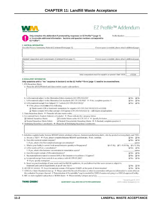|                                                                           |                                                                                                                                                                   | EZ Profile™ Addendum                                                                                                                                       |                                                        |
|---------------------------------------------------------------------------|-------------------------------------------------------------------------------------------------------------------------------------------------------------------|------------------------------------------------------------------------------------------------------------------------------------------------------------|--------------------------------------------------------|
| <b>EZ Profile™</b>                                                        | Only complete this Addendum if prompted by responses on EZ Profile™ (page 1)<br>or to provide additional information. Sections and question numbers correspond to | Profile Number:                                                                                                                                            |                                                        |
| <b>C. MATERIAL INFORMATION</b>                                            |                                                                                                                                                                   |                                                                                                                                                            |                                                        |
| Describe Process Generating Material (Continued from page 1):             |                                                                                                                                                                   | If more space is needed, please attach additional pages.                                                                                                   |                                                        |
| Material Composition and Contaminants (Continued from page 1):            |                                                                                                                                                                   | If more space is needed, please attach additional pages                                                                                                    |                                                        |
| 5.                                                                        |                                                                                                                                                                   |                                                                                                                                                            |                                                        |
| 6.                                                                        |                                                                                                                                                                   |                                                                                                                                                            |                                                        |
| 7.                                                                        |                                                                                                                                                                   |                                                                                                                                                            |                                                        |
| 8.                                                                        |                                                                                                                                                                   |                                                                                                                                                            |                                                        |
| 9.                                                                        |                                                                                                                                                                   |                                                                                                                                                            |                                                        |
|                                                                           |                                                                                                                                                                   | Total composition must be equal to or greater than 100%                                                                                                    | >100%                                                  |
| <b>D. REGULATORY INFORMATION</b>                                          |                                                                                                                                                                   |                                                                                                                                                            |                                                        |
|                                                                           | Only questions with a "Yes" response in Section D on the EZ Profile <sup>TM</sup> form (page 1) need to be answered here.                                         |                                                                                                                                                            |                                                        |
| 1. EPA Hazardous Waste                                                    |                                                                                                                                                                   |                                                                                                                                                            |                                                        |
|                                                                           | a. Please list all USEPA listed and characteristic waste code numbers:                                                                                            |                                                                                                                                                            |                                                        |
|                                                                           |                                                                                                                                                                   |                                                                                                                                                            |                                                        |
|                                                                           |                                                                                                                                                                   |                                                                                                                                                            |                                                        |
|                                                                           |                                                                                                                                                                   |                                                                                                                                                            |                                                        |
|                                                                           | b. Is the material subject to the Alternative Debris standards (40 CFR 268.45)?                                                                                   |                                                                                                                                                            | $\square$ Yes                                          |
|                                                                           | c. Is the material subject to the Alternative Soil standards (40 CFR 268.49)? $\rightarrow$ If Yes, complete question 4.                                          |                                                                                                                                                            | $\n  Q No$<br>□ Yes<br>$J$ No                          |
|                                                                           | d. Is the material exempt from Subpart CC Controls (40 CFR 264,1083)?                                                                                             |                                                                                                                                                            | <b>U</b> Yes<br>$\Box$ No                              |
| $\rightarrow$ If Yes, please check one of the following:                  |                                                                                                                                                                   |                                                                                                                                                            |                                                        |
|                                                                           | $\square$ Waste meets LDR or treatment exemptions for organics (40 CFR 264.1082(c)(2) or (c)(4))                                                                  |                                                                                                                                                            |                                                        |
|                                                                           | $\Box$ Waste contains VOCs that average <500 ppmw (CFR 264.1082(c)(1)) - will require annual update.                                                              |                                                                                                                                                            |                                                        |
| 2. State Hazardous Waste $\rightarrow$ Please list all state waste codes: |                                                                                                                                                                   |                                                                                                                                                            |                                                        |
|                                                                           | 3. For material that is Treated, Delisted, or Excluded $\rightarrow$ Please indicate the category, below:                                                         |                                                                                                                                                            |                                                        |
| Delisted Hazardous Waste                                                  | $\Box$ Excluded Waste under 40 CFR 261.4 $\rightarrow$ Specify Exclusion:                                                                                         |                                                                                                                                                            |                                                        |
| Treated Hazardous Waste Debris                                            |                                                                                                                                                                   | $\Box$ Treated Characteristic Hazardous Waste $\rightarrow$ If checked, complete question 4.                                                               |                                                        |
|                                                                           | 4. Underlying Hazardous Constituents > Please list all Underlying Hazardous Constituents:                                                                         |                                                                                                                                                            |                                                        |
|                                                                           |                                                                                                                                                                   |                                                                                                                                                            |                                                        |
|                                                                           |                                                                                                                                                                   |                                                                                                                                                            |                                                        |
|                                                                           |                                                                                                                                                                   |                                                                                                                                                            |                                                        |
|                                                                           |                                                                                                                                                                   | 5. Industries regulated under Benzene NESHAP include petroleum refineries, chemical manufacturing plants, coke by-product recovery plants, and TSDFs.      |                                                        |
|                                                                           | a. Are you a TSDF? → If yes, please complete Benzene NESHAP questionnaire. If not, continue.                                                                      |                                                                                                                                                            | $\Box$ Yes $\Box$ No                                   |
| b. Does this material contain benzene?                                    |                                                                                                                                                                   |                                                                                                                                                            | $\Box$ Yes $\Box$ No                                   |
| 1. If yes, what is the flow weighted average concentration?               |                                                                                                                                                                   |                                                                                                                                                            | ppmw                                                   |
|                                                                           | c. What is your facility's current total annual benzene quantity in Megagrams?                                                                                    | □<1 Mg □ 1-9.99 Mg □ ≥10 Mg                                                                                                                                |                                                        |
| d. Is this waste soil from a remediation?                                 |                                                                                                                                                                   |                                                                                                                                                            | O Yes O No                                             |
|                                                                           | 1. If yes, what is the benzene concentration in remediation waste?                                                                                                |                                                                                                                                                            | ppmw                                                   |
| e. Does the waste contain >10% water/moisture?                            |                                                                                                                                                                   |                                                                                                                                                            | $\Box$ Yes $\Box$ No.                                  |
|                                                                           | f. Has material been treated to remove 99% of the benzene or to achieve <10 ppmw?                                                                                 |                                                                                                                                                            | O Yes O No                                             |
| $\rightarrow$ If yes, specify exemption:                                  | g. Is material exempt from controls in accordance with 40 CFR 61.342?                                                                                             |                                                                                                                                                            | □ Yes □ No                                             |
|                                                                           |                                                                                                                                                                   | h. Based on your knowledge of your waste and the BWON regulations, do you believe that this waste stream is subject to                                     |                                                        |
| treatment and control requirements at an off-site TSDF?                   |                                                                                                                                                                   |                                                                                                                                                            | $\Box$ Yes<br>$\square$ No                             |
|                                                                           | 6.40 CFR 63 GGGGG $\rightarrow$ Does the material contain <500 ppmw VOHAPs at the point of determination?                                                         |                                                                                                                                                            | $\Box$ Yes $\Box$ No.                                  |
|                                                                           |                                                                                                                                                                   | 7. CERCLA or State-Mandated dean up $\rightarrow$ Please submit the Record of Decision or other documentation with process information to assist others in |                                                        |
|                                                                           |                                                                                                                                                                   | the evaluation for proper disposal. A "Determination of Acceptability" may be needed for CERCLA wastes not going to a CERCLA approved facility,            |                                                        |
|                                                                           | 8. NRC or state regulated radioactive or NORM Waste $\rightarrow$ Please identify isotopes and pCi/g:                                                             |                                                                                                                                                            |                                                        |
|                                                                           |                                                                                                                                                                   |                                                                                                                                                            |                                                        |
| <b>THINK GREEN:</b>                                                       |                                                                                                                                                                   |                                                                                                                                                            | Revised August 8, 2014<br>4020 4 Waste Management Inc. |
|                                                                           | QUESTIONS? CALL 800 963 4776 FOR ASSISTANCE                                                                                                                       |                                                                                                                                                            |                                                        |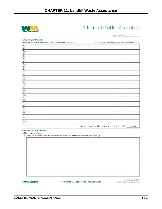

## Additional Profile Information

Profile Number:

| <b>C. MATERIAL INFORMATION</b>                                 |                                                          |       |
|----------------------------------------------------------------|----------------------------------------------------------|-------|
| Material Composition and Contaminants (Continued from page 2): | If more space is needed, please attach additional pages. |       |
| 10.                                                            |                                                          |       |
| 11.                                                            |                                                          |       |
| 12.                                                            |                                                          |       |
| 13.                                                            |                                                          |       |
| 14.                                                            |                                                          |       |
| 15.                                                            |                                                          |       |
| 16                                                             |                                                          |       |
| 17.                                                            |                                                          |       |
| 18.                                                            |                                                          |       |
| 19.                                                            |                                                          |       |
| 20.                                                            |                                                          |       |
| 21.                                                            |                                                          |       |
| 22.                                                            |                                                          |       |
| 23.                                                            |                                                          |       |
| 24.                                                            |                                                          |       |
| 25.                                                            |                                                          |       |
| 26.                                                            |                                                          |       |
| 27.                                                            |                                                          |       |
| 28.                                                            |                                                          |       |
| 29.                                                            |                                                          |       |
| 30.                                                            |                                                          |       |
| 31.                                                            |                                                          |       |
| 32.                                                            |                                                          |       |
| 33,                                                            |                                                          |       |
| 34.                                                            |                                                          |       |
| 35.                                                            |                                                          |       |
| 36.                                                            |                                                          |       |
| 37.                                                            |                                                          |       |
| 38.                                                            |                                                          |       |
| 39.                                                            |                                                          |       |
| 40.                                                            |                                                          |       |
|                                                                | Total composition must be equal to or greater than 100%  | >100% |

**D. REGULATORY INFORMATION** 

1. EPA Hazardous Waste

a. Please list all USEPA listed and characteristic waste code numbers (Continued from page 2):

**THINK GREEN:** 

QUESTIONS? CALL 800 963 4776 FOR ASSISTANCE

Revised August 8, 2014<br>©2014 Waste Management, Inc.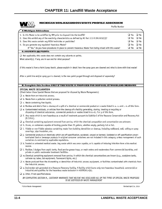

#### MICHIGAN NON-HAZARDOUS WASTE PROFILE ADDENDUM

| Profile Number                                                                                                                                                                                                                                                                                                                                                                                                      |  |                                                                    |                                                               |  |
|---------------------------------------------------------------------------------------------------------------------------------------------------------------------------------------------------------------------------------------------------------------------------------------------------------------------------------------------------------------------------------------------------------------------|--|--------------------------------------------------------------------|---------------------------------------------------------------|--|
| F. Michigan Addendum                                                                                                                                                                                                                                                                                                                                                                                                |  |                                                                    |                                                               |  |
| 1. Is this Waste to be solidified by WM prior to disposal into the landfill?<br>2. Does this exhibit any of the reactivity characteristics as defined by MI Part 111 R 299.9212(3)?<br>3. Does this waste contain any RCRA herbicides or pesticides?<br>4. Do you generate any regulated Hazardous Waste?<br>If "Yes," do you have procedures in place to prevent Hazardous Waste from being mixed with this waste? |  | $\Box$ Yes<br>$\Box$ Yes<br>$\Box$ Yes<br>$\Box$ Yes<br>$\Box$ Yes | $\Box$ No<br>$\Box$ No<br>$\Box$ No<br>$\Box$ No<br>$\Box$ No |  |
| <b>G. SOLVENTS OR PAINTS:</b>                                                                                                                                                                                                                                                                                                                                                                                       |  |                                                                    |                                                               |  |
| $\Box$ Not applicable, this waste does not contain any solvents or paints.                                                                                                                                                                                                                                                                                                                                          |  |                                                                    |                                                               |  |
| What solvent(s), if any, are in use and for what purpose?                                                                                                                                                                                                                                                                                                                                                           |  |                                                                    |                                                               |  |
| If this waste is from a Paint Spray Booth, please explain in detail how the spray guns are cleaned and what is done with that waste?                                                                                                                                                                                                                                                                                |  |                                                                    |                                                               |  |
| After a paint line and/or spray gun is cleaned, is the new paint purged through and disposed of separately?                                                                                                                                                                                                                                                                                                         |  |                                                                    |                                                               |  |
| H. Complete this Section ONLY IF THIS WASTE IS PROPOSED FOR DISPOSAL AT WOODLAND MEADOWS                                                                                                                                                                                                                                                                                                                            |  |                                                                    |                                                               |  |
| SPECIAL WASTE DECLARATION<br>(Check below those Special Wastes that are proposed for disposal by Waste Management:)                                                                                                                                                                                                                                                                                                 |  |                                                                    |                                                               |  |
| $\Box$ a. Waste from an industrial process.                                                                                                                                                                                                                                                                                                                                                                         |  |                                                                    |                                                               |  |
| $\Box$ b. Waste from a pollution control process.                                                                                                                                                                                                                                                                                                                                                                   |  |                                                                    |                                                               |  |
| $\Box$ c. Waste containing free liquids.                                                                                                                                                                                                                                                                                                                                                                            |  |                                                                    |                                                               |  |
| $\Box$ d. Residue and debris from a cleanup of a spill of a chemical or commercial product or a waste listed in a.-c. and l.-n. of this form.                                                                                                                                                                                                                                                                       |  |                                                                    |                                                               |  |
| $\square$ e. Contaminated residuals, or articles from the cleanup of a facility generating, storing, treating or recycling or<br>disposing of chemical substances, commercial products or wastes listed in a.-d., f or g of this form.                                                                                                                                                                              |  |                                                                    |                                                               |  |
| $\Box$ f. Any waste which is non-hazardous as a result of treatment pursuant to Subtitle C of the Resource Conservation and Recovery Act<br>(R.C.R.A.).                                                                                                                                                                                                                                                             |  |                                                                    |                                                               |  |
| $\Box$ g. Chemical containing equipment removed from service, which the chemical composition and concentration are unknown.                                                                                                                                                                                                                                                                                         |  |                                                                    |                                                               |  |
| $\Box$ h. Drums, or containers capable of holding greater than 25 gallons, whether empty, partially full or full.                                                                                                                                                                                                                                                                                                   |  |                                                                    |                                                               |  |
| $\Box$ i. Friable or non-friable asbestos containing waste from building demolition or cleanup, including wallboard, wall, ceiling or spray<br>coverings, pipe insulation, etc.                                                                                                                                                                                                                                     |  |                                                                    |                                                               |  |
| $\Box$ j. Commercial products or chemicals which are off-specification, outdated, unused or banned. Outdated or off specification uncon-<br>taminated food or beverage products in original consumer containers are not included in this category, unless management of such<br>containers is restricted by applicable regulations.                                                                                 |  |                                                                    |                                                               |  |
| $\Box$ k. Treated or untreated medical waste. Any waste which was once capable, or is capable of inducing infection form a bio-medical<br>source.                                                                                                                                                                                                                                                                   |  |                                                                    |                                                               |  |
| $\Box$ l. Residue / sludges from septic tanks, food service grease traps, or wash waters and wastewaters from commercial laundries, and<br>private or public wastewater treatment facilities.                                                                                                                                                                                                                       |  |                                                                    |                                                               |  |
| $\Box$ m. Chemical containing equipment removed from service, in which the chemical concentrations are known (e.g., acetylene tanks,<br>cathode ray tubes, lab equipment, fluorescent lights, etc.)                                                                                                                                                                                                                 |  |                                                                    |                                                               |  |
| $\Box$ n. Waste produced from the dismantling or demolition of industrial process equipment, or facilities contaminated with chemicals from<br>the industrial process.                                                                                                                                                                                                                                              |  |                                                                    |                                                               |  |
| $\Box$ o. Incinerator ash generated at a Resource Recovery Facility. A facility which burns only non-hazardous household, commercial or<br>industrial and qualifies for the hazardous waste exclusion in 40CFR261.4(b).                                                                                                                                                                                             |  |                                                                    |                                                               |  |
| $\Box$ p. Other, if not specified above.                                                                                                                                                                                                                                                                                                                                                                            |  |                                                                    |                                                               |  |
| BY COMPLETING SECTION H., CUSTOMER WARRANTS THAT HE/SHE HAS DISCLOSED ALL OF THE TYPES OF SPECIAL WASTE PROPOSED<br>TO BE DISPOSED BY WASTE MANAGEMENT                                                                                                                                                                                                                                                              |  |                                                                    |                                                               |  |

 $°2014$  Waste Management

Revised April 24, 2014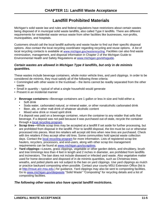### **Landfill Prohibited Materials**

Michigan's solid waste law and rules and federal regulations have restrictions about certain wastes being disposed of in municipal solid waste landfills, also called Type II landfills. There are different requirements for residential waste versus waste from other facilities like businesses, non-profits, municipalities, and hospitals.

Customers should call the local landfill authority and waste hauler to find out their specific disposal options. Also contact the local recycling coordinator regarding recycling and reuse options. A list of local recycling contacts is available at [www.michigan.gov/wasterecycling](https://www.michigan.gov/documents/deq/deq-tou-RecyclingHHWContacts_607038_7.pdf). Facilities can also find waste minimization, management, and disposal information in Chapter 2 of the Michigan Guide to Environmental Health and Safety Regulations at [www.michigan.gov/ehsguide.](http://www.michigan.gov/ehsguide)

#### *Certain wastes are allowed in Michigan Type II landfills, but only in de minimis quantities.*

These wastes include beverage containers, whole motor vehicle tires, and yard clippings. In order to be considered de minimis, they must satisfy all of the following three criteria:

- Commingled with other waste in the truckload the items cannot be readily separated from the other waste
- Small in quantity typical of what a single household would generate
- Present in an incidental manner
- **Beverage containers—**Beverage containers are 1 gallon or less in size and hold either a:
	- Soft drink
	- Soda water, carbonated natural, or mineral water, or other nonalcoholic carbonated drink
	- Beer, ale, or other malt drink of whatever alcoholic content
	- Mixed wine drink or mixed spirit drink

If a deposit was paid on a beverage container, return the container to any retailer that sells that beverage. If a deposit was not paid because it was purchased out-of-state, recycle the container through a [local recycling program.](https://www.michigan.gov/documents/deq/deq-tou-RecyclingHHWContacts_607038_7.pdf)

- **Scrap tires—**Whole scrap tires may be accepted at a landfill if set aside for further processing, but are prohibited from disposal in the landfill. Prior to landfill disposal, the tire must be cut or otherwise processed into pieces. Most tire retailers will accept old tires when new tires are purchased. Check with tire retailers if they accept other old tires. Some communities hold special waste collection days. Contact the [local recycling program](https://www.michigan.gov/documents/deq/deq-tou-RecyclingHHWContacts_607038_7.pdf) for more information. Lists of registered scrap tire haulers, recyclers, processors, and end-users, along with other scrap tire management requirements can be found at [www.michigan.gov/scraptires.](http://www.michigan.gov/scraptires)
- **Yard clippings—**Leaves, grass clippings, vegetable or other garden debris, and shrubbery, brush and tree trimmings less than 4 feet in length and 2 inches in diameter, are prohibited from landfills and incinerators. The ban does not include diseased or infected yard waste. Also vegetative matter used for home decoration and disposed of in de minimis quantities, such as Christmas trees, wreaths, and potted plants are not subject to the ban on yard clippings. Use yard clippings as mulch or practice backyard composting when possible. Contact your county MSU Extension Office (list is at [http://msue.anr.msu.edu.](http://msue.anr.msu.edu/)) for guidance. Yard clippings may also be sent to composting facilities. Go to [www.michigan.gov/deqwaste](http://www.michigan.gov/deqwaste) "Solid Waste" "Composting" for recycling details and a list of composting facilities.

#### *The following other wastes also have special landfill restrictions.*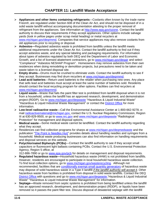- **Appliances and other items containing refrigerants**—Coolants often known by the trade name Freon®, are regulated under Section 608 of the Clean Air Act, and should not be disposed of in a solid waste landfill without accompanying documentation attesting to the proper removal of refrigerant from the appliances. See information at [http://www.epa.gov/ozone.](http://www.epa.gov/ozone) Contact the landfill authority to discuss their requirements if they accept appliances. Other options include salvage yards (look in yellow pages under scrap metal heading) or metal recyclers at [www.michigan.gov/deqrmmd.](http://www.michigan.gov/deqrmmd) Companies that service appliances may also remove coolants from old appliances prior to recycling or disposal.
- **Asbestos—**Regulated asbestos waste is prohibited from landfills unless the landfill meets additional requirements under the Clean Air Act. Contact the landfill authority to find out if they accept asbestos waste, and any special labeling and packaging requirements. For information about types of asbestos regulated by both DEQ and the Department of Labor and Economic Growth, and a list of licensed abatement contractors, go to [www.michigan.gov/deqair](http://www.michigan.gov/deqair) and select "Compliance" "Asbestos NESHAP Program". Homeowners may remove asbestos from their own residences when doing remodeling or demolition projects, but precautions need to be taken and waste taken to a licensed disposal site.
- **Empty drums**—Drums must be crushed to eliminate voids. Contact the landfill authority to see if they accept. Businesses may find drum recyclers at www.michigan.gov/deqrmmd.
- **Lead acid batteries**—Return used batteries to the retailer when purchasing new ones. Any place that sells lead acid batteries must accept at least the same number of batteries sold. Residents should contact the local recycling program for other options. Facilities can find recyclers at www.michigan.gov/deqrmmd.
- **Liquid waste**—Waste that fails the paint filter test is prohibited from landfill disposal when it is not from a household, unless the landfill has an approved research, development, and demonstration project (RDDP). Go to www.michigan.gov/deqwaste "Hazardous & Liquid Industrial Waste" "Hazardous & Liquid Industrial Waste Management" or contact the [District Office](http://www.michigan.gov/deq/0,1607,7-135-3306_3329-12306--,00.html) for more information.
- **Low-level radioactive waste**—Call the Environmental Assistance Center at 1-800-662-9278, email radioactivematerial@michigan.gov, contact the U.S. Nuclear Regulatory Commission, Region III at 630-829-9500, or go to www.nrc.gov and www.michigan.gov/deqwaste "Radiological Protection" for management and disposal options.
- **Medical waste**—Some medical waste cannot be landfilled. Contact the landfill authority regarding what they accept.
- $\triangleright$  Residences can find collection programs for sharps at www.michigan.gov/degmedwaste and the publication ["The Point is Needles Hurt"](http://www.michigan.gov/documents/deq/whm-stsw-mwrp-The-Point-is-Needles-Hurt_257177_7.pdf?20141007162423) provides details about handling needles and syringes from a household. Medical waste producing businesses can also find information on handling requirements and disposal services on this website.
- **Polychlorinated Biphenyls (PCBs)**—Contact the landfill authority to see if they accept small capacitors or fluorescent light ballasts containing PCBs. Contact the U.S. Environmental Protection Agency, Region 5 office, at

312-886-7890 or go to [www.epa.gov/pcb](http://www.epa.gov/pcb) for details on management and disposal requirements.

- **Regulated hazardous waste—**Household hazardous waste (HHW) is not prohibited from landfills. However, residents are encouraged to participate in local household hazardous waste collection. To find local collection options, go to [www.michigan.gov/wasterecycling.](http://www.michigan.gov/wasterecycling) Although not recommended, facilities that are [conditionally exempt small quantity generators](http://www.michigan.gov/documents/deq/deq-ead-tas-wmd-cesq0997_320886_7.pdf) of hazardous waste may dispose of solid hazardous waste in a Type II landfill *if the landfill authority will accept it*. Other hazardous waste from facilities is prohibited from disposal in solid waste landfills. Contact the DEQ [District Office](http://www.michigan.gov/deq/0,1607,7-135-3306_3329-12306--,00.html) with questions and go to [www.michigan.gov/deqwaste](http://www.michigan.gov/deqwaste) "Hazardous & Liquid Industrial Waste" "Hazardous & Liquid Industrial Waste Management" for information.
- **Septage—**Waste removed from septic systems is prohibited from being landfilled unless the landfill has an approved research, development, and demonstration project (RDDP), or liquids have been removed so it passes the paint filter test. Discuss disposal of dewatered septage with the landfill